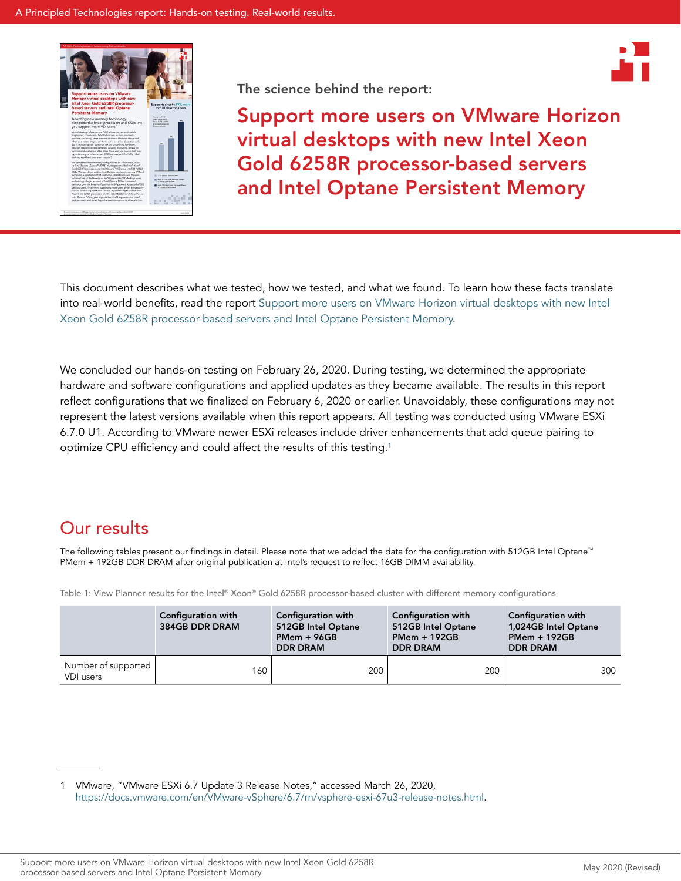



Support more users on VMware Horizon virtual desktops with new Intel Xeon Gold 6258R processor-based servers and Intel Optane Persistent Memory

This document describes what we tested, how we tested, and what we found. To learn how these facts translate into real-world benefits, read the repor[t Support more users on VMware Horizon virtual desktops with new Intel](http://facts.pt/pxsqbpi)  [Xeon Gold 6258R processor-based servers and Intel Optane Persistent Memory](http://facts.pt/pxsqbpi).

We concluded our hands-on testing on February 26, 2020. During testing, we determined the appropriate hardware and software configurations and applied updates as they became available. The results in this report reflect configurations that we finalized on February 6, 2020 or earlier. Unavoidably, these configurations may not represent the latest versions available when this report appears. All testing was conducted using VMware ESXi 6.7.0 U1. According to VMware newer ESXi releases include driver enhancements that add queue pairing to optimize CPU efficiency and could affect the results of this testing.[1](#page-0-0)

# Our results

The following tables present our findings in detail. Please note that we added the data for the configuration with 512GB Intel Optane™ PMem + 192GB DDR DRAM after original publication at Intel's request to reflect 16GB DIMM availability.

Table 1: View Planner results for the Intel® Xeon® Gold 6258R processor-based cluster with different memory configurations

|                                  | Configuration with<br>384GB DDR DRAM | Configuration with<br>512GB Intel Optane<br>$PMem + 96GB$<br><b>DDR DRAM</b> | Configuration with<br>512GB Intel Optane<br><b>PMem + 192GB</b><br><b>DDR DRAM</b> | Configuration with<br>1,024GB Intel Optane<br><b>PMem + 192GB</b><br><b>DDR DRAM</b> |
|----------------------------------|--------------------------------------|------------------------------------------------------------------------------|------------------------------------------------------------------------------------|--------------------------------------------------------------------------------------|
| Number of supported<br>VDI users | 160                                  | 200                                                                          | 200                                                                                | 300                                                                                  |

<span id="page-0-0"></span><sup>1</sup> VMware, "VMware ESXi 6.7 Update 3 Release Notes," accessed March 26, 2020, <https://docs.vmware.com/en/VMware-vSphere/6.7/rn/vsphere-esxi-67u3-release-notes.html>.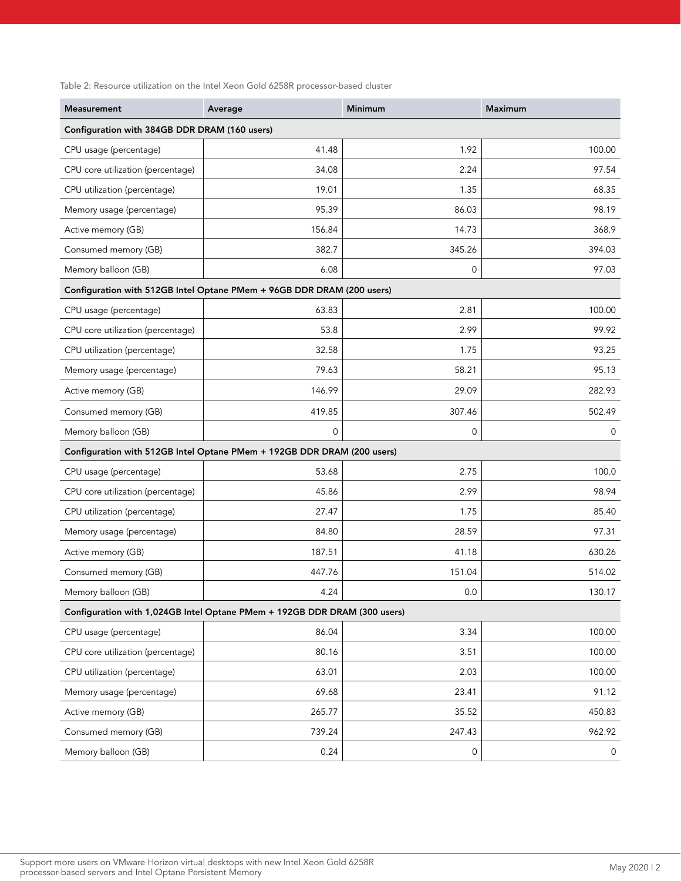Table 2: Resource utilization on the Intel Xeon Gold 6258R processor-based cluster

| <b>Measurement</b>                                                        | Average                                                                 | Minimum     | <b>Maximum</b> |  |  |
|---------------------------------------------------------------------------|-------------------------------------------------------------------------|-------------|----------------|--|--|
| Configuration with 384GB DDR DRAM (160 users)                             |                                                                         |             |                |  |  |
| CPU usage (percentage)                                                    | 41.48                                                                   | 1.92        | 100.00         |  |  |
| CPU core utilization (percentage)                                         | 34.08                                                                   | 2.24        | 97.54          |  |  |
| CPU utilization (percentage)                                              | 19.01                                                                   | 1.35        | 68.35          |  |  |
| Memory usage (percentage)                                                 | 95.39                                                                   | 86.03       | 98.19          |  |  |
| Active memory (GB)                                                        | 156.84                                                                  | 14.73       | 368.9          |  |  |
| Consumed memory (GB)                                                      | 382.7                                                                   | 345.26      | 394.03         |  |  |
| Memory balloon (GB)                                                       | 6.08                                                                    | $\mathbf 0$ | 97.03          |  |  |
|                                                                           | Configuration with 512GB Intel Optane PMem + 96GB DDR DRAM (200 users)  |             |                |  |  |
| CPU usage (percentage)                                                    | 63.83                                                                   | 2.81        | 100.00         |  |  |
| CPU core utilization (percentage)                                         | 53.8                                                                    | 2.99        | 99.92          |  |  |
| CPU utilization (percentage)                                              | 32.58                                                                   | 1.75        | 93.25          |  |  |
| Memory usage (percentage)                                                 | 79.63                                                                   | 58.21       | 95.13          |  |  |
| Active memory (GB)                                                        | 146.99                                                                  | 29.09       | 282.93         |  |  |
| Consumed memory (GB)                                                      | 419.85                                                                  | 307.46      | 502.49         |  |  |
| Memory balloon (GB)                                                       | $\mathbf 0$                                                             | $\mathbf 0$ | 0              |  |  |
|                                                                           | Configuration with 512GB Intel Optane PMem + 192GB DDR DRAM (200 users) |             |                |  |  |
| CPU usage (percentage)                                                    | 53.68                                                                   | 2.75        | 100.0          |  |  |
| CPU core utilization (percentage)                                         | 45.86                                                                   | 2.99        | 98.94          |  |  |
| CPU utilization (percentage)                                              | 27.47                                                                   | 1.75        | 85.40          |  |  |
| Memory usage (percentage)                                                 | 84.80                                                                   | 28.59       | 97.31          |  |  |
| Active memory (GB)                                                        | 187.51                                                                  | 41.18       | 630.26         |  |  |
| Consumed memory (GB)                                                      | 447.76                                                                  | 151.04      | 514.02         |  |  |
| Memory balloon (GB)                                                       | 4.24                                                                    | 0.0         | 130.17         |  |  |
| Configuration with 1,024GB Intel Optane PMem + 192GB DDR DRAM (300 users) |                                                                         |             |                |  |  |
| CPU usage (percentage)                                                    | 86.04                                                                   | 3.34        | 100.00         |  |  |
| CPU core utilization (percentage)                                         | 80.16                                                                   | 3.51        | 100.00         |  |  |
| CPU utilization (percentage)                                              | 63.01                                                                   | 2.03        | 100.00         |  |  |
| Memory usage (percentage)                                                 | 69.68                                                                   | 23.41       | 91.12          |  |  |
| Active memory (GB)                                                        | 265.77                                                                  | 35.52       | 450.83         |  |  |
| Consumed memory (GB)                                                      | 739.24                                                                  | 247.43      | 962.92         |  |  |
| Memory balloon (GB)                                                       | 0.24                                                                    | 0           | 0              |  |  |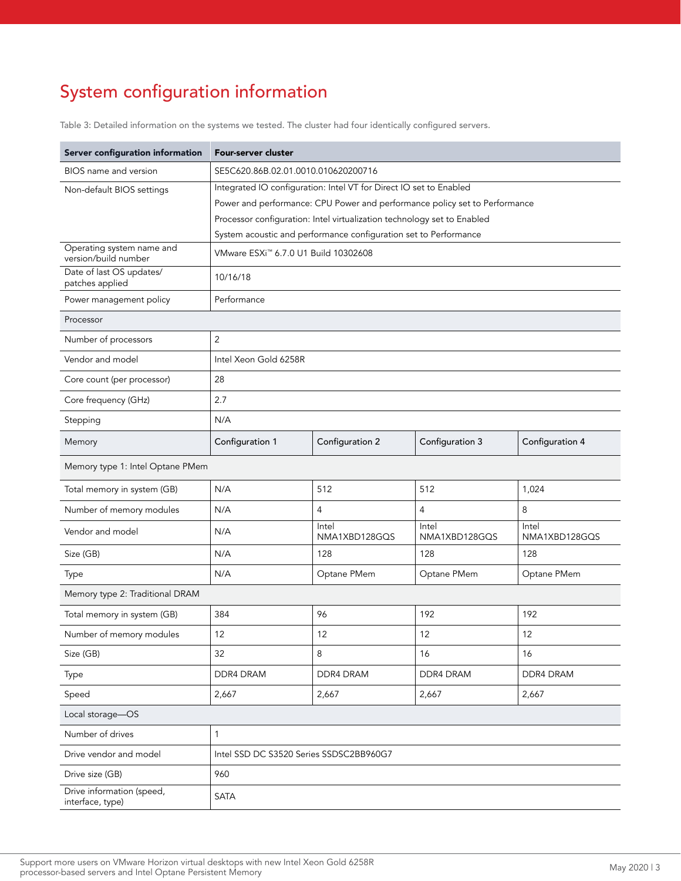# System configuration information

Table 3: Detailed information on the systems we tested. The cluster had four identically configured servers.

| Server configuration information              | Four-server cluster                                                        |                                                                  |                        |                        |  |  |
|-----------------------------------------------|----------------------------------------------------------------------------|------------------------------------------------------------------|------------------------|------------------------|--|--|
| BIOS name and version                         | SE5C620.86B.02.01.0010.010620200716                                        |                                                                  |                        |                        |  |  |
| Non-default BIOS settings                     | Integrated IO configuration: Intel VT for Direct IO set to Enabled         |                                                                  |                        |                        |  |  |
|                                               | Power and performance: CPU Power and performance policy set to Performance |                                                                  |                        |                        |  |  |
|                                               | Processor configuration: Intel virtualization technology set to Enabled    |                                                                  |                        |                        |  |  |
| Operating system name and                     |                                                                            | System acoustic and performance configuration set to Performance |                        |                        |  |  |
| version/build number                          |                                                                            | VMware ESXi <sup>™</sup> 6.7.0 U1 Build 10302608                 |                        |                        |  |  |
| Date of last OS updates/<br>patches applied   | 10/16/18                                                                   |                                                                  |                        |                        |  |  |
| Power management policy                       | Performance                                                                |                                                                  |                        |                        |  |  |
| Processor                                     |                                                                            |                                                                  |                        |                        |  |  |
| Number of processors                          | $\overline{2}$                                                             |                                                                  |                        |                        |  |  |
| Vendor and model                              | Intel Xeon Gold 6258R                                                      |                                                                  |                        |                        |  |  |
| Core count (per processor)                    | 28                                                                         |                                                                  |                        |                        |  |  |
| Core frequency (GHz)                          | 2.7                                                                        |                                                                  |                        |                        |  |  |
| Stepping                                      | N/A                                                                        |                                                                  |                        |                        |  |  |
| Memory                                        | Configuration 1                                                            | Configuration 2                                                  | Configuration 3        | Configuration 4        |  |  |
| Memory type 1: Intel Optane PMem              |                                                                            |                                                                  |                        |                        |  |  |
| Total memory in system (GB)                   | N/A                                                                        | 512                                                              | 512                    | 1,024                  |  |  |
| Number of memory modules                      | N/A                                                                        | $\overline{4}$                                                   | 4                      | 8                      |  |  |
| Vendor and model                              | N/A                                                                        | Intel<br>NMA1XBD128GQS                                           | Intel<br>NMA1XBD128GQS | Intel<br>NMA1XBD128GQS |  |  |
| Size (GB)                                     | N/A                                                                        | 128                                                              | 128                    | 128                    |  |  |
| Type                                          | N/A                                                                        | Optane PMem                                                      | Optane PMem            | Optane PMem            |  |  |
| Memory type 2: Traditional DRAM               |                                                                            |                                                                  |                        |                        |  |  |
| Total memory in system (GB)                   | 384                                                                        | 96                                                               | 192                    | 192                    |  |  |
| Number of memory modules                      | 12                                                                         | 12                                                               | 12                     | 12                     |  |  |
| Size (GB)                                     | 32                                                                         | 8                                                                | 16                     | 16                     |  |  |
| Type                                          | DDR4 DRAM                                                                  | DDR4 DRAM                                                        | DDR4 DRAM              | DDR4 DRAM              |  |  |
| Speed                                         | 2,667                                                                      | 2,667                                                            | 2,667                  | 2,667                  |  |  |
| Local storage-OS                              |                                                                            |                                                                  |                        |                        |  |  |
| Number of drives                              | $\mathbf{1}$                                                               |                                                                  |                        |                        |  |  |
| Drive vendor and model                        | Intel SSD DC S3520 Series SSDSC2BB960G7                                    |                                                                  |                        |                        |  |  |
| Drive size (GB)                               | 960                                                                        |                                                                  |                        |                        |  |  |
| Drive information (speed,<br>interface, type) | <b>SATA</b>                                                                |                                                                  |                        |                        |  |  |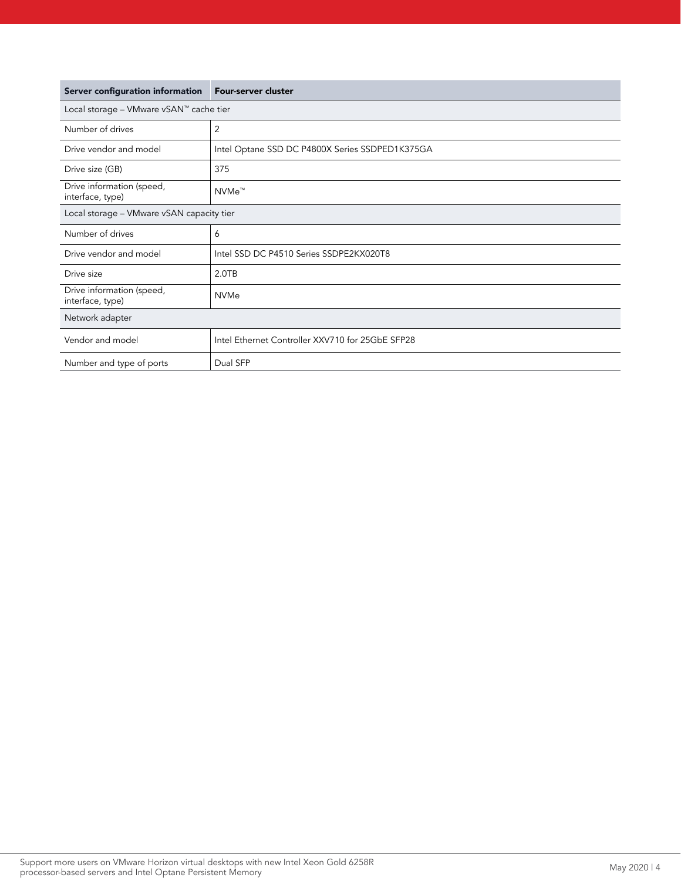| Server configuration information              | Four-server cluster                              |  |  |
|-----------------------------------------------|--------------------------------------------------|--|--|
| Local storage - VMware vSAN™ cache tier       |                                                  |  |  |
| Number of drives                              | 2                                                |  |  |
| Drive vendor and model                        | Intel Optane SSD DC P4800X Series SSDPED1K375GA  |  |  |
| Drive size (GB)                               | 375                                              |  |  |
| Drive information (speed,<br>interface, type) | NVMe <sup>™</sup>                                |  |  |
| Local storage - VMware vSAN capacity tier     |                                                  |  |  |
| Number of drives                              | 6                                                |  |  |
| Drive vendor and model                        | Intel SSD DC P4510 Series SSDPE2KX020T8          |  |  |
| Drive size                                    | 2.0TB                                            |  |  |
| Drive information (speed,<br>interface, type) | <b>NVMe</b>                                      |  |  |
| Network adapter                               |                                                  |  |  |
| Vendor and model                              | Intel Ethernet Controller XXV710 for 25GbE SFP28 |  |  |
| Number and type of ports                      | Dual SFP                                         |  |  |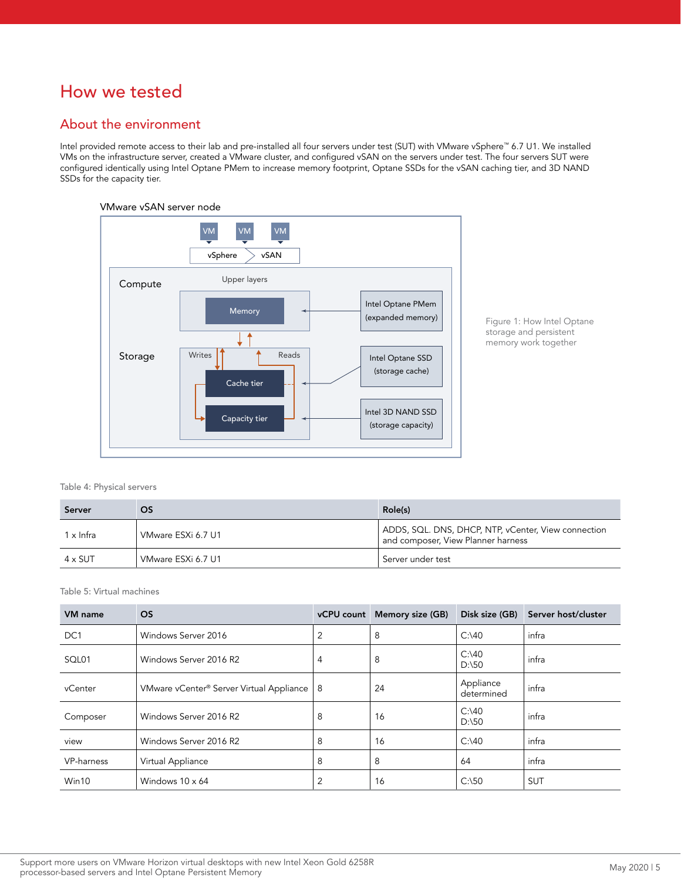# How we tested

## About the environment

Intel provided remote access to their lab and pre-installed all four servers under test (SUT) with VMware vSphere™ 6.7 U1. We installed VMs on the infrastructure server, created a VMware cluster, and configured vSAN on the servers under test. The four servers SUT were configured identically using Intel Optane PMem to increase memory footprint, Optane SSDs for the vSAN caching tier, and 3D NAND SSDs for the capacity tier.

#### VMware vSAN server node



Figure 1: How Intel Optane storage and persistent memory work together

Table 4: Physical servers

| Server         | OS                 | Role(s)                                                                                   |
|----------------|--------------------|-------------------------------------------------------------------------------------------|
| 1 x Infra      | VMware ESXi 6.7 U1 | ADDS, SQL. DNS, DHCP, NTP, vCenter, View connection<br>and composer, View Planner harness |
| $4 \times$ SUT | VMware ESXi 6.7 U1 | Server under test                                                                         |

Table 5: Virtual machines

| VM name         | <b>OS</b>                                                |   | vCPU count Memory size (GB) | Disk size (GB)          | Server host/cluster |
|-----------------|----------------------------------------------------------|---|-----------------------------|-------------------------|---------------------|
| DC <sub>1</sub> | Windows Server 2016                                      | 2 | 8                           | $C$ : 40                | infra               |
| SQL01           | Windows Server 2016 R2                                   | 4 | 8                           | C:140<br>D:150          | infra               |
| vCenter         | VMware vCenter <sup>®</sup> Server Virtual Appliance   8 |   | 24                          | Appliance<br>determined | infra               |
| Composer        | Windows Server 2016 R2                                   | 8 | 16                          | C:140<br>D:150          | infra               |
| view            | Windows Server 2016 R2                                   | 8 | 16                          | $C$ : 40                | infra               |
| VP-harness      | Virtual Appliance                                        | 8 | 8                           | 64                      | infra               |
| Win10           | Windows $10 \times 64$                                   | 2 | 16                          | C:150                   | <b>SUT</b>          |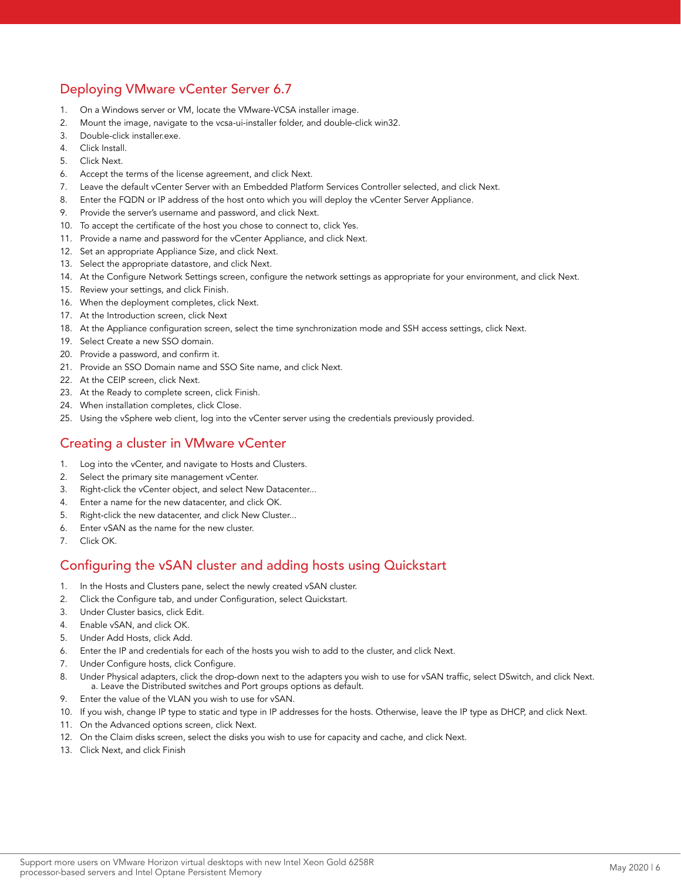# Deploying VMware vCenter Server 6.7

- 1. On a Windows server or VM, locate the VMware-VCSA installer image.
- 2. Mount the image, navigate to the vcsa-ui-installer folder, and double-click win32.
- 3. Double-click installer.exe.
- 4. Click Install.
- 5. Click Next.
- 6. Accept the terms of the license agreement, and click Next.
- 7. Leave the default vCenter Server with an Embedded Platform Services Controller selected, and click Next.
- 8. Enter the FQDN or IP address of the host onto which you will deploy the vCenter Server Appliance.
- 9. Provide the server's username and password, and click Next.
- 10. To accept the certificate of the host you chose to connect to, click Yes.
- 11. Provide a name and password for the vCenter Appliance, and click Next.
- 12. Set an appropriate Appliance Size, and click Next.
- 13. Select the appropriate datastore, and click Next.
- 14. At the Configure Network Settings screen, configure the network settings as appropriate for your environment, and click Next.
- 15. Review your settings, and click Finish.
- 16. When the deployment completes, click Next.
- 17. At the Introduction screen, click Next
- 18. At the Appliance configuration screen, select the time synchronization mode and SSH access settings, click Next.
- 19. Select Create a new SSO domain.
- 20. Provide a password, and confirm it.
- 21. Provide an SSO Domain name and SSO Site name, and click Next.
- 22. At the CEIP screen, click Next.
- 23. At the Ready to complete screen, click Finish.
- 24. When installation completes, click Close.
- 25. Using the vSphere web client, log into the vCenter server using the credentials previously provided.

#### Creating a cluster in VMware vCenter

- 1. Log into the vCenter, and navigate to Hosts and Clusters.
- 2. Select the primary site management vCenter.
- 3. Right-click the vCenter object, and select New Datacenter...
- 4. Enter a name for the new datacenter, and click OK.
- 5. Right-click the new datacenter, and click New Cluster...
- 6. Enter vSAN as the name for the new cluster.
- 7. Click OK.

# Configuring the vSAN cluster and adding hosts using Quickstart

- 1. In the Hosts and Clusters pane, select the newly created vSAN cluster.
- 2. Click the Configure tab, and under Configuration, select Quickstart.
- 3. Under Cluster basics, click Edit.
- 4. Enable vSAN, and click OK.
- 5. Under Add Hosts, click Add.
- 6. Enter the IP and credentials for each of the hosts you wish to add to the cluster, and click Next.
- 7. Under Configure hosts, click Configure.
- 8. Under Physical adapters, click the drop-down next to the adapters you wish to use for vSAN traffic, select DSwitch, and click Next. a. Leave the Distributed switches and Port groups options as default.
- Enter the value of the VLAN you wish to use for vSAN.
- 10. If you wish, change IP type to static and type in IP addresses for the hosts. Otherwise, leave the IP type as DHCP, and click Next.
- 11. On the Advanced options screen, click Next.
- 12. On the Claim disks screen, select the disks you wish to use for capacity and cache, and click Next.
- 13. Click Next, and click Finish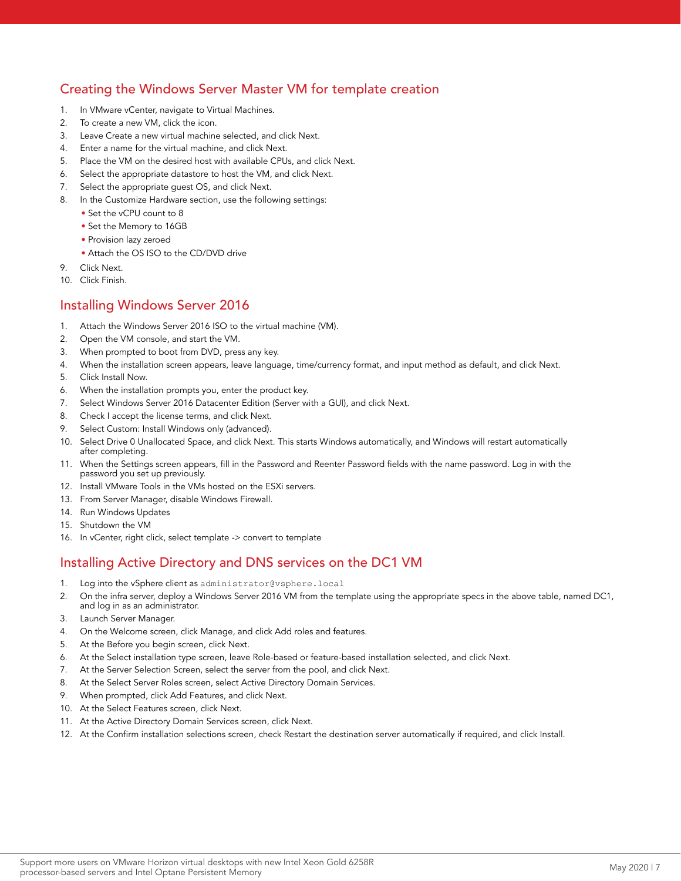# Creating the Windows Server Master VM for template creation

- 1. In VMware vCenter, navigate to Virtual Machines.
- 2. To create a new VM, click the icon.
- 3. Leave Create a new virtual machine selected, and click Next.
- 4. Enter a name for the virtual machine, and click Next.
- 5. Place the VM on the desired host with available CPUs, and click Next.
- 6. Select the appropriate datastore to host the VM, and click Next.
- 7. Select the appropriate guest OS, and click Next.
- 8. In the Customize Hardware section, use the following settings:
	- Set the vCPU count to 8
	- Set the Memory to 16GB
	- Provision lazy zeroed
	- Attach the OS ISO to the CD/DVD drive
- 9. Click Next.
- 10. Click Finish.

#### Installing Windows Server 2016

- 1. Attach the Windows Server 2016 ISO to the virtual machine (VM).
- 2. Open the VM console, and start the VM.
- 3. When prompted to boot from DVD, press any key.
- 4. When the installation screen appears, leave language, time/currency format, and input method as default, and click Next.
- 5. Click Install Now.
- 6. When the installation prompts you, enter the product key.
- 7. Select Windows Server 2016 Datacenter Edition (Server with a GUI), and click Next.
- 8. Check I accept the license terms, and click Next.
- 9. Select Custom: Install Windows only (advanced).
- 10. Select Drive 0 Unallocated Space, and click Next. This starts Windows automatically, and Windows will restart automatically after completing.
- 11. When the Settings screen appears, fill in the Password and Reenter Password fields with the name password. Log in with the password you set up previously.
- 12. Install VMware Tools in the VMs hosted on the ESXi servers.
- 13. From Server Manager, disable Windows Firewall.
- 14. Run Windows Updates
- 15. Shutdown the VM
- 16. In vCenter, right click, select template -> convert to template

## Installing Active Directory and DNS services on the DC1 VM

- 1. Log into the vSphere client as administrator@vsphere.local
- 2. On the infra server, deploy a Windows Server 2016 VM from the template using the appropriate specs in the above table, named DC1, and log in as an administrator.
- 3. Launch Server Manager.
- 4. On the Welcome screen, click Manage, and click Add roles and features.
- 5. At the Before you begin screen, click Next.
- 6. At the Select installation type screen, leave Role-based or feature-based installation selected, and click Next.
- 7. At the Server Selection Screen, select the server from the pool, and click Next.
- 8. At the Select Server Roles screen, select Active Directory Domain Services.
- 9. When prompted, click Add Features, and click Next.
- 10. At the Select Features screen, click Next.
- 11. At the Active Directory Domain Services screen, click Next.
- 12. At the Confirm installation selections screen, check Restart the destination server automatically if required, and click Install.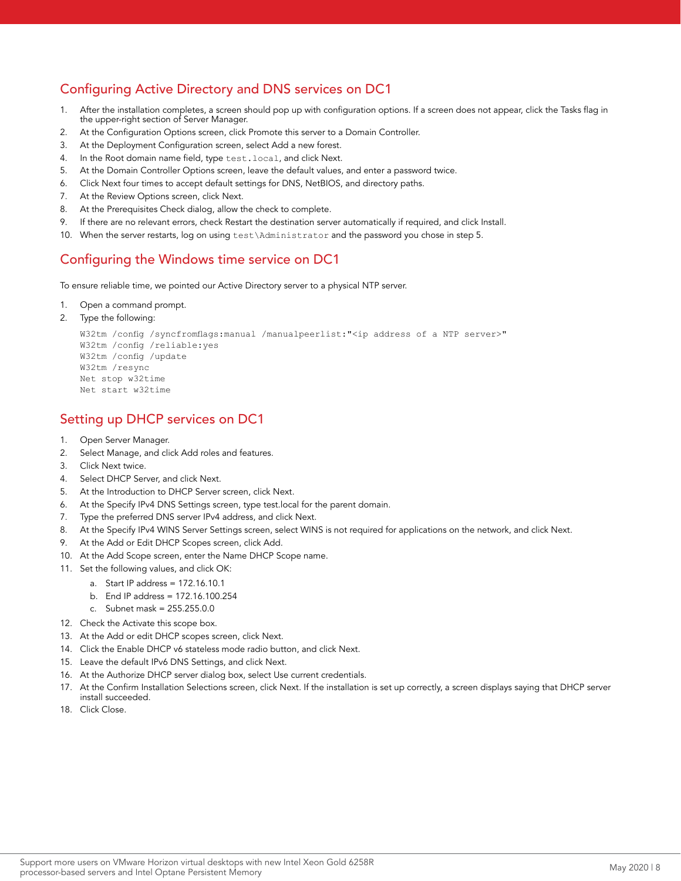# Configuring Active Directory and DNS services on DC1

- 1. After the installation completes, a screen should pop up with configuration options. If a screen does not appear, click the Tasks flag in the upper-right section of Server Manager.
- 2. At the Configuration Options screen, click Promote this server to a Domain Controller.
- 3. At the Deployment Configuration screen, select Add a new forest.
- 4. In the Root domain name field, type test.local, and click Next.
- 5. At the Domain Controller Options screen, leave the default values, and enter a password twice.
- 6. Click Next four times to accept default settings for DNS, NetBIOS, and directory paths.
- 7. At the Review Options screen, click Next.
- 8. At the Prerequisites Check dialog, allow the check to complete.
- 9. If there are no relevant errors, check Restart the destination server automatically if required, and click Install.
- 10. When the server restarts, log on using test\Administrator and the password you chose in step 5.

#### Configuring the Windows time service on DC1

To ensure reliable time, we pointed our Active Directory server to a physical NTP server.

- 1. Open a command prompt.
- 2. Type the following:

```
W32tm /config /syncfromflags:manual /manualpeerlist:"<ip address of a NTP server>"
W32tm /config /reliable:yes
W32tm /config /update
W32tm /resync
Net stop w32time
Net start w32time
```
## Setting up DHCP services on DC1

- 1. Open Server Manager.
- 2. Select Manage, and click Add roles and features.
- 3. Click Next twice.
- 4. Select DHCP Server, and click Next.
- 5. At the Introduction to DHCP Server screen, click Next.
- 6. At the Specify IPv4 DNS Settings screen, type test.local for the parent domain.
- 7. Type the preferred DNS server IPv4 address, and click Next.
- 8. At the Specify IPv4 WINS Server Settings screen, select WINS is not required for applications on the network, and click Next.
- 9. At the Add or Edit DHCP Scopes screen, click Add.
- 10. At the Add Scope screen, enter the Name DHCP Scope name.
- 11. Set the following values, and click OK:
	- a. Start IP address = 172.16.10.1
		- b. End IP address = 172.16.100.254
		- c. Subnet mask = 255.255.0.0
- 12. Check the Activate this scope box.
- 13. At the Add or edit DHCP scopes screen, click Next.
- 14. Click the Enable DHCP v6 stateless mode radio button, and click Next.
- 15. Leave the default IPv6 DNS Settings, and click Next.
- 16. At the Authorize DHCP server dialog box, select Use current credentials.
- 17. At the Confirm Installation Selections screen, click Next. If the installation is set up correctly, a screen displays saying that DHCP server install succeeded.
- 18. Click Close.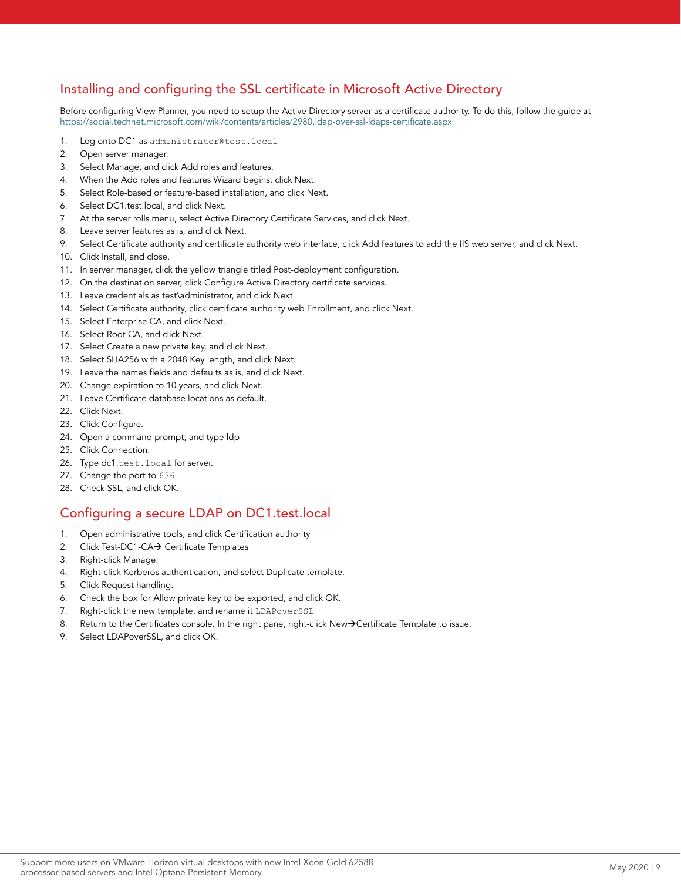# Installing and configuring the SSL certificate in Microsoft Active Directory

Before configuring View Planner, you need to setup the Active Directory server as a certificate authority. To do this, follow the guide at <https://social.technet.microsoft.com/wiki/contents/articles/2980.ldap-over-ssl-ldaps-certificate.aspx>

- 1. Log onto DC1 as administrator@test.local
- 2. Open server manager.
- 3. Select Manage, and click Add roles and features.
- 4. When the Add roles and features Wizard begins, click Next.
- 5. Select Role-based or feature-based installation, and click Next.
- 6. Select DC1.test.local, and click Next.
- 7. At the server rolls menu, select Active Directory Certificate Services, and click Next.
- 8. Leave server features as is, and click Next.
- 9. Select Certificate authority and certificate authority web interface, click Add features to add the IIS web server, and click Next.
- 10. Click Install, and close.
- 11. In server manager, click the yellow triangle titled Post-deployment configuration.
- 12. On the destination server, click Configure Active Directory certificate services.
- 13. Leave credentials as test\administrator, and click Next.
- 14. Select Certificate authority, click certificate authority web Enrollment, and click Next.
- 15. Select Enterprise CA, and click Next.
- 16. Select Root CA, and click Next.
- 17. Select Create a new private key, and click Next.
- 18. Select SHA256 with a 2048 Key length, and click Next.
- 19. Leave the names fields and defaults as is, and click Next.
- 20. Change expiration to 10 years, and click Next.
- 21. Leave Certificate database locations as default.
- 22. Click Next.
- 23. Click Configure.
- 24. Open a command prompt, and type ldp
- 25. Click Connection.
- 26. Type dc1.test.local for server.
- 27. Change the port to 636
- 28. Check SSL, and click OK.

# Configuring a secure LDAP on DC1.test.local

- 1. Open administrative tools, and click Certification authority
- 2. Click Test-DC1-CA $\rightarrow$  Certificate Templates
- 3. Right-click Manage.
- 4. Right-click Kerberos authentication, and select Duplicate template.
- 5. Click Request handling.
- 6. Check the box for Allow private key to be exported, and click OK.
- 7. Right-click the new template, and rename it LDAPoverSSL
- 8. Return to the Certificates console. In the right pane, right-click New->Certificate Template to issue.
- 9. Select LDAPoverSSL, and click OK.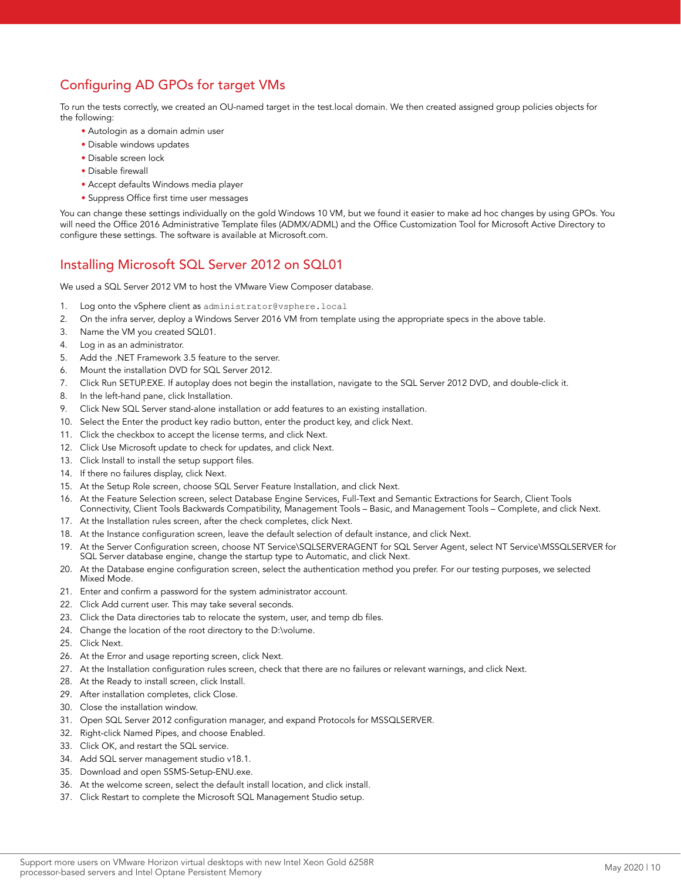# Configuring AD GPOs for target VMs

To run the tests correctly, we created an OU-named target in the test.local domain. We then created assigned group policies objects for the following:

- Autologin as a domain admin user
- Disable windows updates
- Disable screen lock
- Disable firewall
- Accept defaults Windows media player
- Suppress Office first time user messages

You can change these settings individually on the gold Windows 10 VM, but we found it easier to make ad hoc changes by using GPOs. You will need the Office 2016 Administrative Template files (ADMX/ADML) and the Office Customization Tool for Microsoft Active Directory to configure these settings. The software is available at Microsoft.com.

## Installing Microsoft SQL Server 2012 on SQL01

We used a SQL Server 2012 VM to host the VMware View Composer database.

- 1. Log onto the vSphere client as administrator@vsphere.local
- 2. On the infra server, deploy a Windows Server 2016 VM from template using the appropriate specs in the above table.
- 3. Name the VM you created SQL01.
- 4. Log in as an administrator.
- 5. Add the .NET Framework 3.5 feature to the server.
- 6. Mount the installation DVD for SQL Server 2012.
- 7. Click Run SETUP.EXE. If autoplay does not begin the installation, navigate to the SQL Server 2012 DVD, and double-click it.
- 8. In the left-hand pane, click Installation.
- 9. Click New SQL Server stand-alone installation or add features to an existing installation.
- 10. Select the Enter the product key radio button, enter the product key, and click Next.
- 11. Click the checkbox to accept the license terms, and click Next.
- 12. Click Use Microsoft update to check for updates, and click Next.
- 13. Click Install to install the setup support files.
- 14. If there no failures display, click Next.
- 15. At the Setup Role screen, choose SQL Server Feature Installation, and click Next.
- 16. At the Feature Selection screen, select Database Engine Services, Full-Text and Semantic Extractions for Search, Client Tools Connectivity, Client Tools Backwards Compatibility, Management Tools – Basic, and Management Tools – Complete, and click Next.
- 17. At the Installation rules screen, after the check completes, click Next.
- 18. At the Instance configuration screen, leave the default selection of default instance, and click Next.
- 19. At the Server Configuration screen, choose NT Service\SQLSERVERAGENT for SQL Server Agent, select NT Service\MSSQLSERVER for SQL Server database engine, change the startup type to Automatic, and click Next.
- 20. At the Database engine configuration screen, select the authentication method you prefer. For our testing purposes, we selected Mixed Mode.
- 21. Enter and confirm a password for the system administrator account.
- 22. Click Add current user. This may take several seconds.
- 23. Click the Data directories tab to relocate the system, user, and temp db files.
- 24. Change the location of the root directory to the D:\volume.
- 25. Click Next.
- 26. At the Error and usage reporting screen, click Next.
- 27. At the Installation configuration rules screen, check that there are no failures or relevant warnings, and click Next.
- 28. At the Ready to install screen, click Install.
- 29. After installation completes, click Close.
- 30. Close the installation window.
- 31. Open SQL Server 2012 configuration manager, and expand Protocols for MSSQLSERVER.
- 32. Right-click Named Pipes, and choose Enabled.
- 33. Click OK, and restart the SQL service.
- 34. Add SQL server management studio v18.1.
- 35. Download and open SSMS-Setup-ENU.exe.
- 36. At the welcome screen, select the default install location, and click install.
- 37. Click Restart to complete the Microsoft SQL Management Studio setup.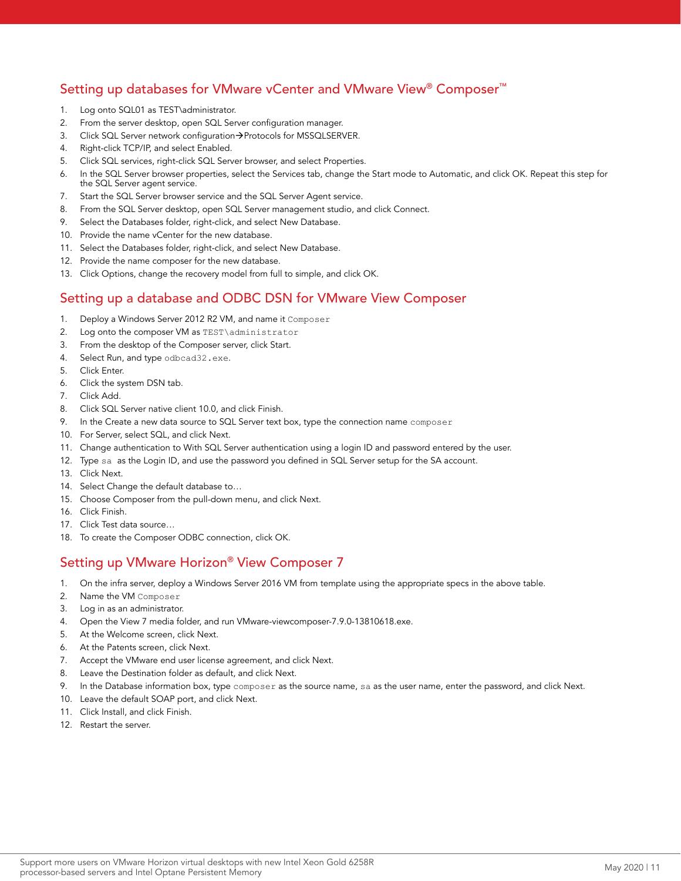# Setting up databases for VMware vCenter and VMware View® Composer™

- 1. Log onto SQL01 as TEST\administrator.
- 2. From the server desktop, open SQL Server configuration manager.
- 3. Click SQL Server network configuration > Protocols for MSSQLSERVER.
- 4. Right-click TCP/IP, and select Enabled.
- 5. Click SQL services, right-click SQL Server browser, and select Properties.
- 6. In the SQL Server browser properties, select the Services tab, change the Start mode to Automatic, and click OK. Repeat this step for the SQL Server agent service.
- 7. Start the SQL Server browser service and the SQL Server Agent service.
- 8. From the SQL Server desktop, open SQL Server management studio, and click Connect.
- 9. Select the Databases folder, right-click, and select New Database.
- 10. Provide the name vCenter for the new database.
- 11. Select the Databases folder, right-click, and select New Database.
- 12. Provide the name composer for the new database.
- 13. Click Options, change the recovery model from full to simple, and click OK.

## Setting up a database and ODBC DSN for VMware View Composer

- 1. Deploy a Windows Server 2012 R2 VM, and name it Composer
- 2. Log onto the composer VM as TEST\administrator
- 3. From the desktop of the Composer server, click Start.
- 4. Select Run, and type odbcad32.exe.
- 5. Click Enter.
- 6. Click the system DSN tab.
- 7. Click Add.
- 8. Click SQL Server native client 10.0, and click Finish.
- 9. In the Create a new data source to SQL Server text box, type the connection name composer
- 10. For Server, select SQL, and click Next.
- 11. Change authentication to With SQL Server authentication using a login ID and password entered by the user.
- 12. Type sa as the Login ID, and use the password you defined in SQL Server setup for the SA account.
- 13. Click Next.
- 14. Select Change the default database to…
- 15. Choose Composer from the pull-down menu, and click Next.
- 16. Click Finish.
- 17. Click Test data source…
- 18. To create the Composer ODBC connection, click OK.

# Setting up VMware Horizon® View Composer 7

- 1. On the infra server, deploy a Windows Server 2016 VM from template using the appropriate specs in the above table.
- 2. Name the VM Composer
- 3. Log in as an administrator.
- 4. Open the View 7 media folder, and run VMware-viewcomposer-7.9.0-13810618.exe.
- 5. At the Welcome screen, click Next.
- 6. At the Patents screen, click Next.
- 7. Accept the VMware end user license agreement, and click Next.
- 8. Leave the Destination folder as default, and click Next.
- 9. In the Database information box, type composer as the source name, sa as the user name, enter the password, and click Next.
- 10. Leave the default SOAP port, and click Next.
- 11. Click Install, and click Finish.
- 12. Restart the server.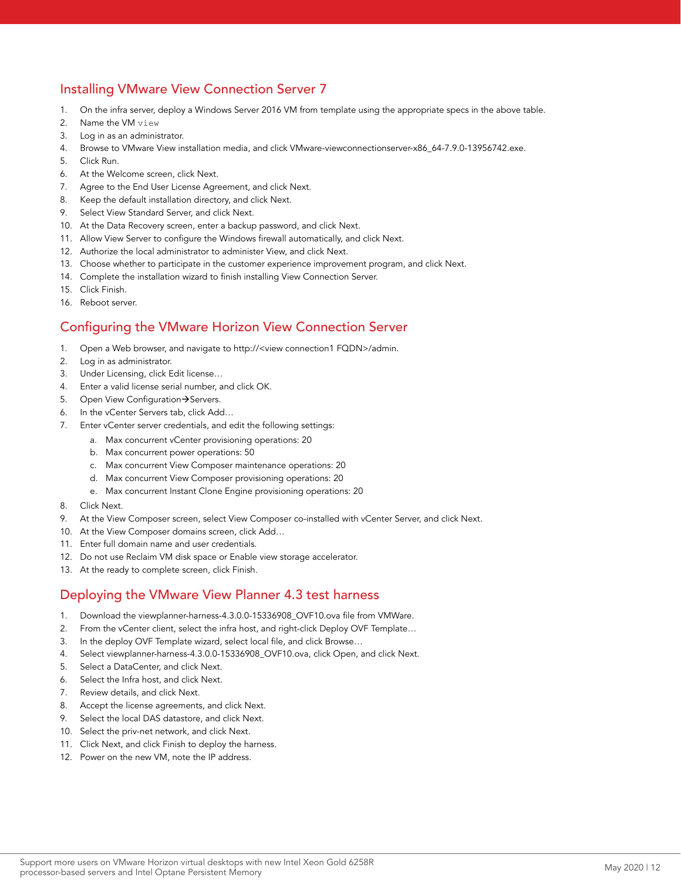# Installing VMware View Connection Server 7

- 1. On the infra server, deploy a Windows Server 2016 VM from template using the appropriate specs in the above table.
- 2. Name the VM view
- 3. Log in as an administrator.
- 4. Browse to VMware View installation media, and click VMware-viewconnectionserver-x86\_64-7.9.0-13956742.exe.
- 5. Click Run.
- 6. At the Welcome screen, click Next.
- 7. Agree to the End User License Agreement, and click Next.
- 8. Keep the default installation directory, and click Next.
- 9. Select View Standard Server, and click Next.
- 10. At the Data Recovery screen, enter a backup password, and click Next.
- 11. Allow View Server to configure the Windows firewall automatically, and click Next.
- 12. Authorize the local administrator to administer View, and click Next.
- 13. Choose whether to participate in the customer experience improvement program, and click Next.
- 14. Complete the installation wizard to finish installing View Connection Server.
- 15. Click Finish.
- 16. Reboot server.

# Configuring the VMware Horizon View Connection Server

- 1. Open a Web browser, and navigate to http://<view connection1 FQDN>/admin.
- 2. Log in as administrator.
- 3. Under Licensing, click Edit license…
- 4. Enter a valid license serial number, and click OK.
- 5. Open View Configuration  $\rightarrow$  Servers.
- 6. In the vCenter Servers tab, click Add…
- 7. Enter vCenter server credentials, and edit the following settings:
	- a. Max concurrent vCenter provisioning operations: 20
	- b. Max concurrent power operations: 50
	- c. Max concurrent View Composer maintenance operations: 20
	- d. Max concurrent View Composer provisioning operations: 20
	- e. Max concurrent Instant Clone Engine provisioning operations: 20
- 8. Click Next.
- 9. At the View Composer screen, select View Composer co-installed with vCenter Server, and click Next.
- 10. At the View Composer domains screen, click Add…
- 11. Enter full domain name and user credentials.
- 12. Do not use Reclaim VM disk space or Enable view storage accelerator.
- 13. At the ready to complete screen, click Finish.

#### Deploying the VMware View Planner 4.3 test harness

- 1. Download the viewplanner-harness-4.3.0.0-15336908\_OVF10.ova file from VMWare.
- 2. From the vCenter client, select the infra host, and right-click Deploy OVF Template…
- 3. In the deploy OVF Template wizard, select local file, and click Browse…
- 4. Select viewplanner-harness-4.3.0.0-15336908\_OVF10.ova, click Open, and click Next.
- 5. Select a DataCenter, and click Next.
- 6. Select the Infra host, and click Next.
- 7. Review details, and click Next.
- 8. Accept the license agreements, and click Next.
- 9. Select the local DAS datastore, and click Next.
- 10. Select the priv-net network, and click Next.
- 11. Click Next, and click Finish to deploy the harness.
- 12. Power on the new VM, note the IP address.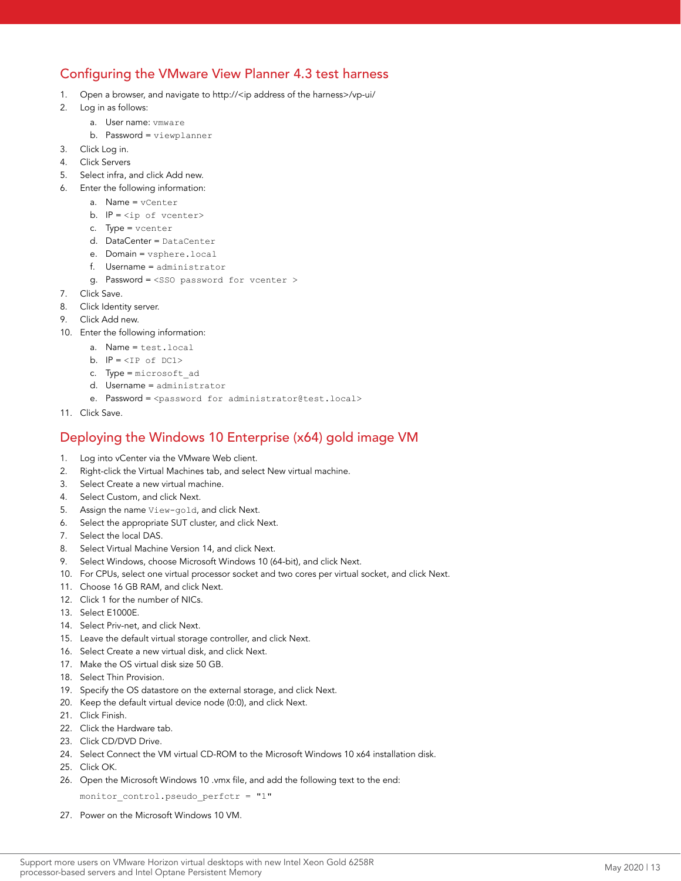# Configuring the VMware View Planner 4.3 test harness

- 1. Open a browser, and navigate to http://<ip address of the harness>/vp-ui/
- 2. Log in as follows:
	- a. User name: vmware
	- b. Password = viewplanner
- 3. Click Log in.
- 4. Click Servers
- 5. Select infra, and click Add new.
- 6. Enter the following information:
	- a. Name = vCenter
	- b.  $IP = *ip* of *veenter*$
	- c. Type = vcenter
	- d. DataCenter = DataCenter
	- e. Domain = vsphere.local
	- f. Username = administrator
	- g. Password = <SSO password for vcenter >
- 7. Click Save.
- 8. Click Identity server.
- 9. Click Add new.
- 10. Enter the following information:
	- a. Name = test.local
	- b.  $IP =  of  $DC1$$
	- c. Type = microsoft\_ad
	- d. Username = administrator
	- e. Password = <password for administrator@test.local>
- 11. Click Save.

#### Deploying the Windows 10 Enterprise (x64) gold image VM

- 1. Log into vCenter via the VMware Web client.
- 2. Right-click the Virtual Machines tab, and select New virtual machine.
- 3. Select Create a new virtual machine.
- 4. Select Custom, and click Next.
- 5. Assign the name View-gold, and click Next.
- 6. Select the appropriate SUT cluster, and click Next.
- 7. Select the local DAS.
- 8. Select Virtual Machine Version 14, and click Next.
- 9. Select Windows, choose Microsoft Windows 10 (64-bit), and click Next.
- 10. For CPUs, select one virtual processor socket and two cores per virtual socket, and click Next.
- 11. Choose 16 GB RAM, and click Next.
- 12. Click 1 for the number of NICs.
- 13. Select E1000E.
- 14. Select Priv-net, and click Next.
- 15. Leave the default virtual storage controller, and click Next.
- 16. Select Create a new virtual disk, and click Next.
- 17. Make the OS virtual disk size 50 GB.
- 18. Select Thin Provision.
- 19. Specify the OS datastore on the external storage, and click Next.
- 20. Keep the default virtual device node (0:0), and click Next.
- 21. Click Finish.
- 22. Click the Hardware tab.
- 23. Click CD/DVD Drive.
- 24. Select Connect the VM virtual CD-ROM to the Microsoft Windows 10 x64 installation disk.
- 25. Click OK.
- 26. Open the Microsoft Windows 10 .vmx file, and add the following text to the end:

monitor control.pseudo perfctr =  $"1"$ 

27. Power on the Microsoft Windows 10 VM.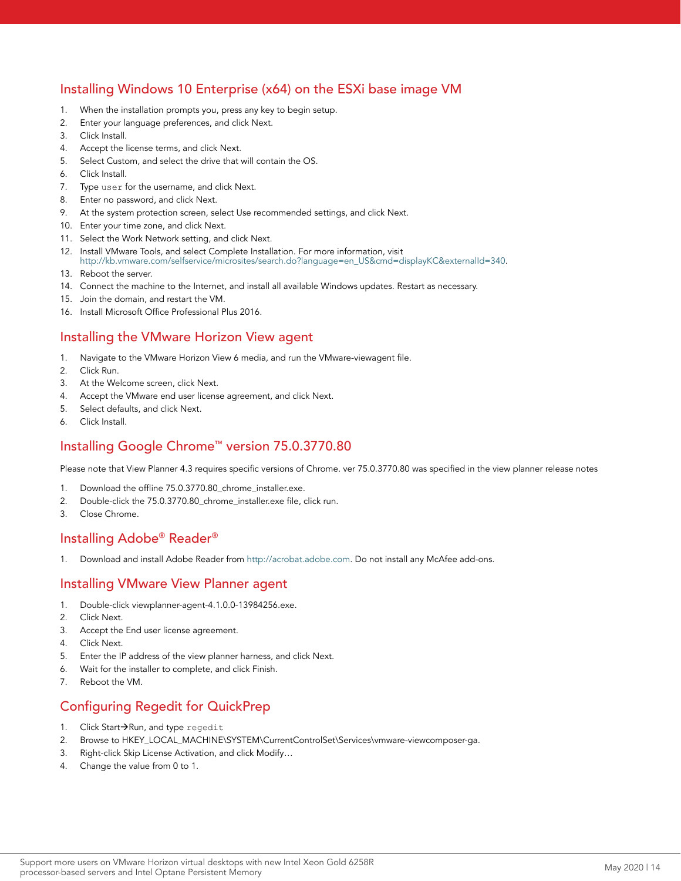# Installing Windows 10 Enterprise (x64) on the ESXi base image VM

- 1. When the installation prompts you, press any key to begin setup.
- 2. Enter your language preferences, and click Next.
- 3. Click Install.
- 4. Accept the license terms, and click Next.
- 5. Select Custom, and select the drive that will contain the OS.
- 6. Click Install.
- 7. Type user for the username, and click Next.
- 8. Enter no password, and click Next.
- 9. At the system protection screen, select Use recommended settings, and click Next.
- 10. Enter your time zone, and click Next.
- 11. Select the Work Network setting, and click Next.
- 12. Install VMware Tools, and select Complete Installation. For more information, visit [http://kb.vmware.com/selfservice/microsites/search.do?language=en\\_US&cmd=displayKC&externalId=340](http://kb.vmware.com/selfservice/microsites/search.do?language=en_US&cmd=displayKC&externalId=340).
- 13. Reboot the server.
- 14. Connect the machine to the Internet, and install all available Windows updates. Restart as necessary.
- 15. Join the domain, and restart the VM.
- 16. Install Microsoft Office Professional Plus 2016.

#### Installing the VMware Horizon View agent

- 1. Navigate to the VMware Horizon View 6 media, and run the VMware-viewagent file.
- 2. Click Run.
- 3. At the Welcome screen, click Next.
- 4. Accept the VMware end user license agreement, and click Next.
- 5. Select defaults, and click Next.
- 6. Click Install.

# Installing Google Chrome™ version 75.0.3770.80

Please note that View Planner 4.3 requires specific versions of Chrome. ver 75.0.3770.80 was specified in the view planner release notes

- 1. Download the offline 75.0.3770.80\_chrome\_installer.exe.
- 2. Double-click the 75.0.3770.80\_chrome\_installer.exe file, click run.
- 3. Close Chrome.

# Installing Adobe® Reader®

1. Download and install Adobe Reader from [http://acrobat.adobe.com.](http://acrobat.adobe.com) Do not install any McAfee add-ons.

#### Installing VMware View Planner agent

- 1. Double-click viewplanner-agent-4.1.0.0-13984256.exe.
- 2. Click Next.
- 3. Accept the End user license agreement.
- 4. Click Next.
- 5. Enter the IP address of the view planner harness, and click Next.
- 6. Wait for the installer to complete, and click Finish.
- 7. Reboot the VM.

## Configuring Regedit for QuickPrep

- 1. Click Start-Run, and type regedit
- 2. Browse to HKEY\_LOCAL\_MACHINE\SYSTEM\CurrentControlSet\Services\vmware-viewcomposer-ga.
- 3. Right-click Skip License Activation, and click Modify…
- 4. Change the value from 0 to 1.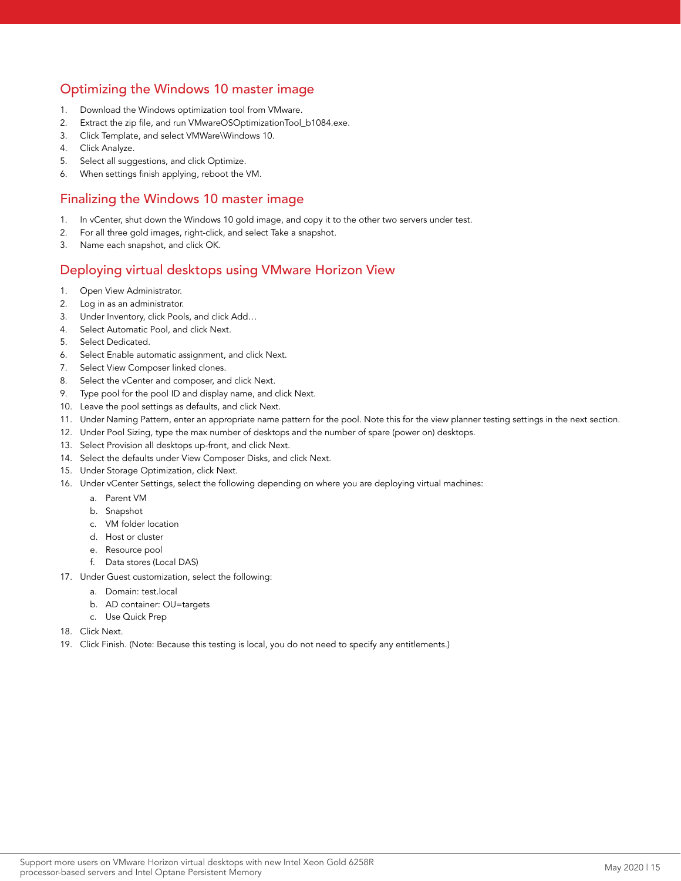# Optimizing the Windows 10 master image

- 1. Download the Windows optimization tool from VMware.
- 2. Extract the zip file, and run VMwareOSOptimizationTool\_b1084.exe.
- 3. Click Template, and select VMWare\Windows 10.
- 4. Click Analyze.
- 5. Select all suggestions, and click Optimize.
- 6. When settings finish applying, reboot the VM.

#### Finalizing the Windows 10 master image

- 1. In vCenter, shut down the Windows 10 gold image, and copy it to the other two servers under test.
- 2. For all three gold images, right-click, and select Take a snapshot.
- 3. Name each snapshot, and click OK.

## Deploying virtual desktops using VMware Horizon View

- 1. Open View Administrator.
- 2. Log in as an administrator.
- 3. Under Inventory, click Pools, and click Add…
- 4. Select Automatic Pool, and click Next.
- 5. Select Dedicated.
- 6. Select Enable automatic assignment, and click Next.
- 7. Select View Composer linked clones.
- 8. Select the vCenter and composer, and click Next.
- 9. Type pool for the pool ID and display name, and click Next.
- 10. Leave the pool settings as defaults, and click Next.
- 11. Under Naming Pattern, enter an appropriate name pattern for the pool. Note this for the view planner testing settings in the next section.
- 12. Under Pool Sizing, type the max number of desktops and the number of spare (power on) desktops.
- 13. Select Provision all desktops up-front, and click Next.
- 14. Select the defaults under View Composer Disks, and click Next.
- 15. Under Storage Optimization, click Next.
- 16. Under vCenter Settings, select the following depending on where you are deploying virtual machines:
	- a. Parent VM
	- b. Snapshot
	- c. VM folder location
	- d. Host or cluster
	- e. Resource pool
	- f. Data stores (Local DAS)
- 17. Under Guest customization, select the following:
	- a. Domain: test.local
	- b. AD container: OU=targets
	- c. Use Quick Prep
- 18. Click Next.
- 19. Click Finish. (Note: Because this testing is local, you do not need to specify any entitlements.)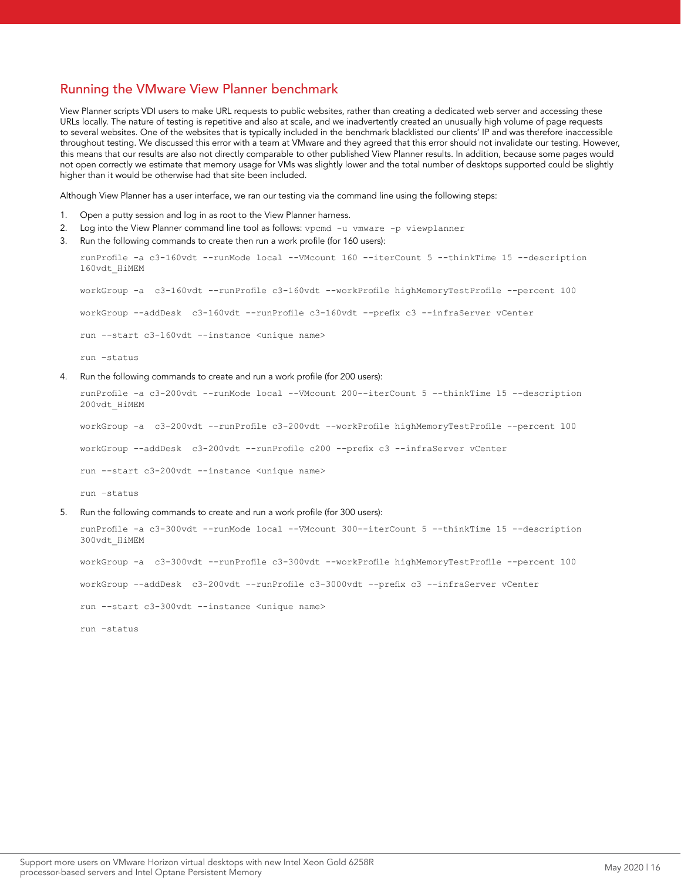#### Running the VMware View Planner benchmark

View Planner scripts VDI users to make URL requests to public websites, rather than creating a dedicated web server and accessing these URLs locally. The nature of testing is repetitive and also at scale, and we inadvertently created an unusually high volume of page requests to several websites. One of the websites that is typically included in the benchmark blacklisted our clients' IP and was therefore inaccessible throughout testing. We discussed this error with a team at VMware and they agreed that this error should not invalidate our testing. However, this means that our results are also not directly comparable to other published View Planner results. In addition, because some pages would not open correctly we estimate that memory usage for VMs was slightly lower and the total number of desktops supported could be slightly higher than it would be otherwise had that site been included.

Although View Planner has a user interface, we ran our testing via the command line using the following steps:

- 1. Open a putty session and log in as root to the View Planner harness.
- 2. Log into the View Planner command line tool as follows: vpcmd -u vmware -p viewplanner
- 3. Run the following commands to create then run a work profile (for 160 users):

runProfile -a c3-160vdt --runMode local --VMcount 160 --iterCount 5 --thinkTime 15 --description 160vdt\_HiMEM

workGroup -a c3-160vdt --runProfile c3-160vdt --workProfile highMemoryTestProfile --percent 100

workGroup --addDesk c3-160vdt --runProfile c3-160vdt --prefix c3 --infraServer vCenter

run --start c3-160vdt --instance <unique name>

run –status

#### 4. Run the following commands to create and run a work profile (for 200 users):

runProfile -a c3-200vdt --runMode local --VMcount 200--iterCount 5 --thinkTime 15 --description 200vdt\_HiMEM

workGroup -a c3-200vdt --runProfile c3-200vdt --workProfile highMemoryTestProfile --percent 100

workGroup --addDesk c3-200vdt --runProfile c200 --prefix c3 --infraServer vCenter

run --start c3-200vdt --instance <unique name>

run –status

5. Run the following commands to create and run a work profile (for 300 users):

runProfile -a c3-300vdt --runMode local --VMcount 300--iterCount 5 --thinkTime 15 --description 300vdt\_HiMEM

workGroup -a c3-300vdt --runProfile c3-300vdt --workProfile highMemoryTestProfile --percent 100

workGroup --addDesk c3-200vdt --runProfile c3-3000vdt --prefix c3 --infraServer vCenter

run --start c3-300vdt --instance <unique name>

run –status